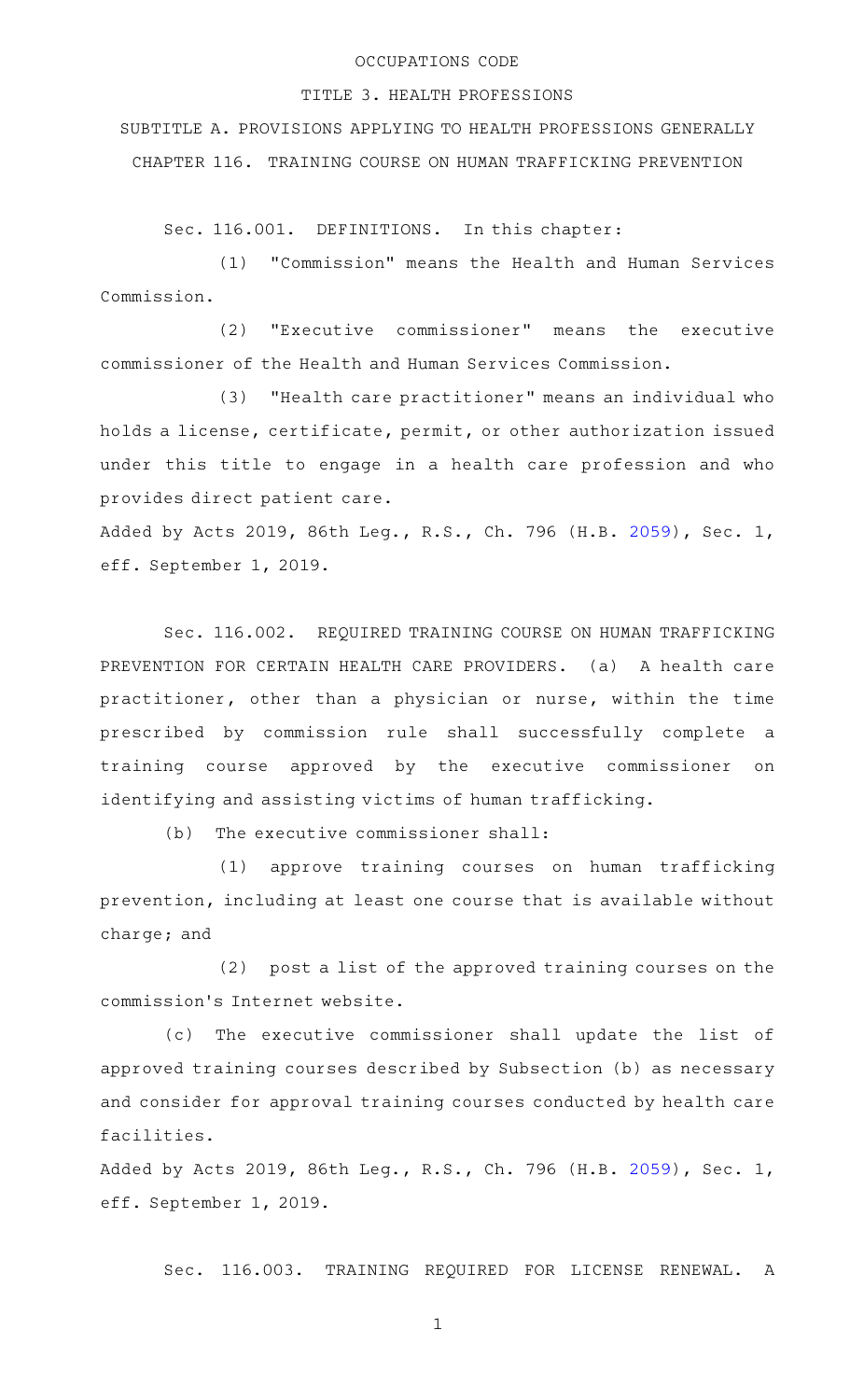## OCCUPATIONS CODE

## TITLE 3. HEALTH PROFESSIONS

SUBTITLE A. PROVISIONS APPLYING TO HEALTH PROFESSIONS GENERALLY CHAPTER 116. TRAINING COURSE ON HUMAN TRAFFICKING PREVENTION

Sec. 116.001. DEFINITIONS. In this chapter:

(1) "Commission" means the Health and Human Services Commission.

(2) "Executive commissioner" means the executive commissioner of the Health and Human Services Commission.

(3) "Health care practitioner" means an individual who holds a license, certificate, permit, or other authorization issued under this title to engage in a health care profession and who provides direct patient care.

Added by Acts 2019, 86th Leg., R.S., Ch. 796 (H.B. [2059](http://www.legis.state.tx.us/tlodocs/86R/billtext/html/HB02059F.HTM)), Sec. 1, eff. September 1, 2019.

Sec. 116.002. REQUIRED TRAINING COURSE ON HUMAN TRAFFICKING PREVENTION FOR CERTAIN HEALTH CARE PROVIDERS. (a) A health care practitioner, other than a physician or nurse, within the time prescribed by commission rule shall successfully complete a training course approved by the executive commissioner on identifying and assisting victims of human trafficking.

 $(b)$  The executive commissioner shall:

(1) approve training courses on human trafficking prevention, including at least one course that is available without charge; and

(2) post a list of the approved training courses on the commission 's Internet website.

(c) The executive commissioner shall update the list of approved training courses described by Subsection (b) as necessary and consider for approval training courses conducted by health care facilities.

Added by Acts 2019, 86th Leg., R.S., Ch. 796 (H.B. [2059](http://www.legis.state.tx.us/tlodocs/86R/billtext/html/HB02059F.HTM)), Sec. 1, eff. September 1, 2019.

Sec. 116.003. TRAINING REQUIRED FOR LICENSE RENEWAL. A

1